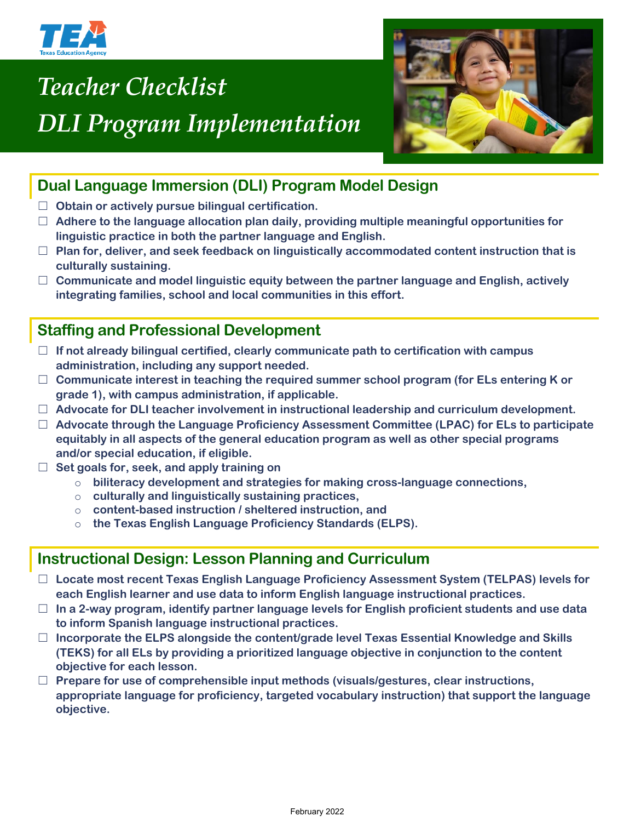

# *Teacher Checklist DLI Program Implementation*



## **Dual Language Immersion (DLI) Program Model Design**

- ☐ **Obtain or actively pursue bilingual certification.**
- ☐ **Adhere to the language allocation plan daily, providing multiple meaningful opportunities for linguistic practice in both the partner language and English.**
- ☐ **Plan for, deliver, and seek feedback on linguistically accommodated content instruction that is culturally sustaining.**
- ☐ **Communicate and model linguistic equity between the partner language and English, actively integrating families, school and local communities in this effort.**

## **Staffing and Professional Development**

- ☐ **If not already bilingual certified, clearly communicate path to certification with campus administration, including any support needed.**
- ☐ **Communicate interest in teaching the required summer school program (for ELs entering K or grade 1), with campus administration, if applicable.**
- ☐ **Advocate for DLI teacher involvement in instructional leadership and curriculum development.**
- ☐ **Advocate through the Language Proficiency Assessment Committee (LPAC) for ELs to participate equitably in all aspects of the general education program as well as other special programs and/or special education, if eligible.**
- ☐ **Set goals for, seek, and apply training on**
	- o **biliteracy development and strategies for making cross-language connections,**
	- o **culturally and linguistically sustaining practices,**
	- o **content-based instruction / sheltered instruction, and**
	- o **the Texas English Language Proficiency Standards (ELPS).**

### **Instructional Design: Lesson Planning and Curriculum**

- ☐ **Locate most recent Texas English Language Proficiency Assessment System (TELPAS) levels for each English learner and use data to inform English language instructional practices.**
- ☐ **In a 2-way program, identify partner language levels for English proficient students and use data to inform Spanish language instructional practices.**
- ☐ **Incorporate the ELPS alongside the content/grade level Texas Essential Knowledge and Skills (TEKS) for all ELs by providing a prioritized language objective in conjunction to the content objective for each lesson.**
- ☐ **Prepare for use of comprehensible input methods (visuals/gestures, clear instructions, appropriate language for proficiency, targeted vocabulary instruction) that support the language objective.**